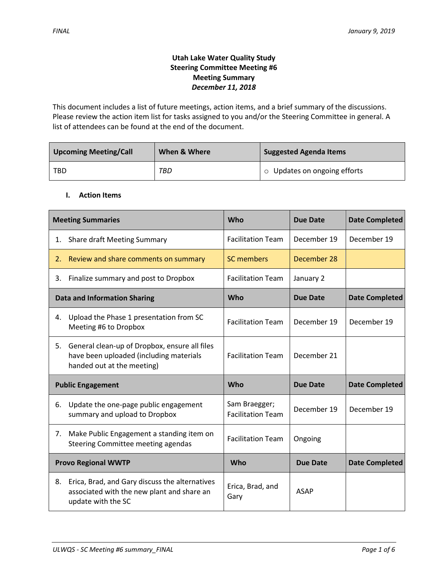# **Utah Lake Water Quality Study Steering Committee Meeting #6 Meeting Summary** *December 11, 2018*

This document includes a list of future meetings, action items, and a brief summary of the discussions. Please review the action item list for tasks assigned to you and/or the Steering Committee in general. A list of attendees can be found at the end of the document.

| <b>Upcoming Meeting/Call</b> | When & Where | <b>Suggested Agenda Items</b> |  |
|------------------------------|--------------|-------------------------------|--|
| TBD<br>TBD                   |              | o Updates on ongoing efforts  |  |

## **I. Action Items**

| <b>Meeting Summaries</b>            |                                                                                                                        | Who                                       | <b>Due Date</b> | <b>Date Completed</b> |
|-------------------------------------|------------------------------------------------------------------------------------------------------------------------|-------------------------------------------|-----------------|-----------------------|
| 1.                                  | <b>Share draft Meeting Summary</b>                                                                                     | <b>Facilitation Team</b>                  | December 19     | December 19           |
| 2.                                  | Review and share comments on summary                                                                                   | <b>SC</b> members                         | December 28     |                       |
| 3.                                  | Finalize summary and post to Dropbox                                                                                   | <b>Facilitation Team</b>                  | January 2       |                       |
| <b>Data and Information Sharing</b> |                                                                                                                        | Who                                       | <b>Due Date</b> | <b>Date Completed</b> |
| 4.                                  | Upload the Phase 1 presentation from SC<br>Meeting #6 to Dropbox                                                       | <b>Facilitation Team</b>                  | December 19     | December 19           |
| 5.                                  | General clean-up of Dropbox, ensure all files<br>have been uploaded (including materials<br>handed out at the meeting) | <b>Facilitation Team</b>                  | December 21     |                       |
| <b>Public Engagement</b>            |                                                                                                                        | Who                                       | <b>Due Date</b> | <b>Date Completed</b> |
| 6.                                  | Update the one-page public engagement<br>summary and upload to Dropbox                                                 | Sam Braegger;<br><b>Facilitation Team</b> | December 19     | December 19           |
| 7.                                  | Make Public Engagement a standing item on<br>Steering Committee meeting agendas                                        | <b>Facilitation Team</b>                  | Ongoing         |                       |
| <b>Provo Regional WWTP</b>          |                                                                                                                        | Who                                       | <b>Due Date</b> | <b>Date Completed</b> |
| 8.                                  | Erica, Brad, and Gary discuss the alternatives<br>associated with the new plant and share an<br>update with the SC     | Erica, Brad, and<br>Gary                  | <b>ASAP</b>     |                       |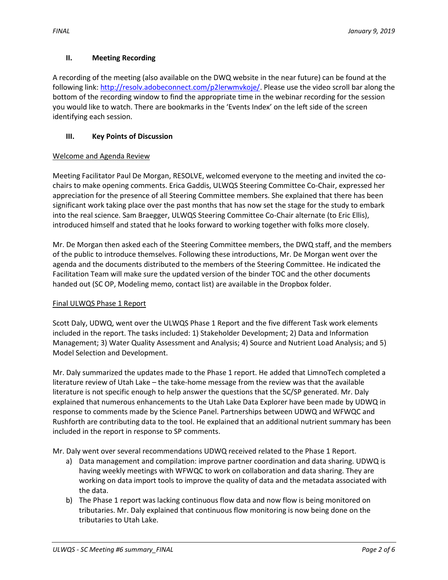## **II. Meeting Recording**

A recording of the meeting (also available on the DWQ website in the near future) can be found at the following link: [http://resolv.adobeconnect.com/p2lerwmvkoje/.](http://resolv.adobeconnect.com/p2lerwmvkoje/) Please use the video scroll bar along the bottom of the recording window to find the appropriate time in the webinar recording for the session you would like to watch. There are bookmarks in the 'Events Index' on the left side of the screen identifying each session.

# **III. Key Points of Discussion**

### Welcome and Agenda Review

Meeting Facilitator Paul De Morgan, RESOLVE, welcomed everyone to the meeting and invited the cochairs to make opening comments. Erica Gaddis, ULWQS Steering Committee Co-Chair, expressed her appreciation for the presence of all Steering Committee members. She explained that there has been significant work taking place over the past months that has now set the stage for the study to embark into the real science. Sam Braegger, ULWQS Steering Committee Co-Chair alternate (to Eric Ellis), introduced himself and stated that he looks forward to working together with folks more closely.

Mr. De Morgan then asked each of the Steering Committee members, the DWQ staff, and the members of the public to introduce themselves. Following these introductions, Mr. De Morgan went over the agenda and the documents distributed to the members of the Steering Committee. He indicated the Facilitation Team will make sure the updated version of the binder TOC and the other documents handed out (SC OP, Modeling memo, contact list) are available in the Dropbox folder.

## Final ULWQS Phase 1 Report

Scott Daly, UDWQ, went over the ULWQS Phase 1 Report and the five different Task work elements included in the report. The tasks included: 1) Stakeholder Development; 2) Data and Information Management; 3) Water Quality Assessment and Analysis; 4) Source and Nutrient Load Analysis; and 5) Model Selection and Development.

Mr. Daly summarized the updates made to the Phase 1 report. He added that LimnoTech completed a literature review of Utah Lake – the take-home message from the review was that the available literature is not specific enough to help answer the questions that the SC/SP generated. Mr. Daly explained that numerous enhancements to the Utah Lake Data Explorer have been made by UDWQ in response to comments made by the Science Panel. Partnerships between UDWQ and WFWQC and Rushforth are contributing data to the tool. He explained that an additional nutrient summary has been included in the report in response to SP comments.

Mr. Daly went over several recommendations UDWQ received related to the Phase 1 Report.

- a) Data management and compilation: improve partner coordination and data sharing. UDWQ is having weekly meetings with WFWQC to work on collaboration and data sharing. They are working on data import tools to improve the quality of data and the metadata associated with the data.
- b) The Phase 1 report was lacking continuous flow data and now flow is being monitored on tributaries. Mr. Daly explained that continuous flow monitoring is now being done on the tributaries to Utah Lake.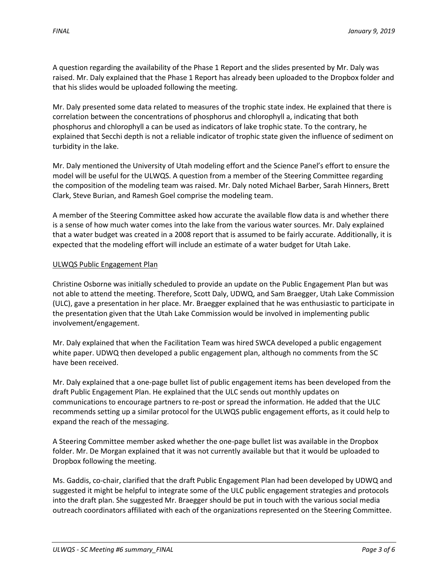A question regarding the availability of the Phase 1 Report and the slides presented by Mr. Daly was raised. Mr. Daly explained that the Phase 1 Report has already been uploaded to the Dropbox folder and that his slides would be uploaded following the meeting.

Mr. Daly presented some data related to measures of the trophic state index. He explained that there is correlation between the concentrations of phosphorus and chlorophyll a, indicating that both phosphorus and chlorophyll a can be used as indicators of lake trophic state. To the contrary, he explained that Secchi depth is not a reliable indicator of trophic state given the influence of sediment on turbidity in the lake.

Mr. Daly mentioned the University of Utah modeling effort and the Science Panel's effort to ensure the model will be useful for the ULWQS. A question from a member of the Steering Committee regarding the composition of the modeling team was raised. Mr. Daly noted Michael Barber, Sarah Hinners, Brett Clark, Steve Burian, and Ramesh Goel comprise the modeling team.

A member of the Steering Committee asked how accurate the available flow data is and whether there is a sense of how much water comes into the lake from the various water sources. Mr. Daly explained that a water budget was created in a 2008 report that is assumed to be fairly accurate. Additionally, it is expected that the modeling effort will include an estimate of a water budget for Utah Lake.

### ULWQS Public Engagement Plan

Christine Osborne was initially scheduled to provide an update on the Public Engagement Plan but was not able to attend the meeting. Therefore, Scott Daly, UDWQ, and Sam Braegger, Utah Lake Commission (ULC), gave a presentation in her place. Mr. Braegger explained that he was enthusiastic to participate in the presentation given that the Utah Lake Commission would be involved in implementing public involvement/engagement.

Mr. Daly explained that when the Facilitation Team was hired SWCA developed a public engagement white paper. UDWQ then developed a public engagement plan, although no comments from the SC have been received.

Mr. Daly explained that a one-page bullet list of public engagement items has been developed from the draft Public Engagement Plan. He explained that the ULC sends out monthly updates on communications to encourage partners to re-post or spread the information. He added that the ULC recommends setting up a similar protocol for the ULWQS public engagement efforts, as it could help to expand the reach of the messaging.

A Steering Committee member asked whether the one-page bullet list was available in the Dropbox folder. Mr. De Morgan explained that it was not currently available but that it would be uploaded to Dropbox following the meeting.

Ms. Gaddis, co-chair, clarified that the draft Public Engagement Plan had been developed by UDWQ and suggested it might be helpful to integrate some of the ULC public engagement strategies and protocols into the draft plan. She suggested Mr. Braegger should be put in touch with the various social media outreach coordinators affiliated with each of the organizations represented on the Steering Committee.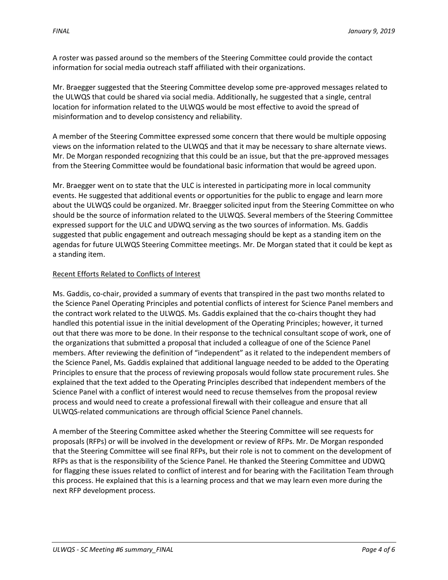A roster was passed around so the members of the Steering Committee could provide the contact information for social media outreach staff affiliated with their organizations.

Mr. Braegger suggested that the Steering Committee develop some pre-approved messages related to the ULWQS that could be shared via social media. Additionally, he suggested that a single, central location for information related to the ULWQS would be most effective to avoid the spread of misinformation and to develop consistency and reliability.

A member of the Steering Committee expressed some concern that there would be multiple opposing views on the information related to the ULWQS and that it may be necessary to share alternate views. Mr. De Morgan responded recognizing that this could be an issue, but that the pre-approved messages from the Steering Committee would be foundational basic information that would be agreed upon.

Mr. Braegger went on to state that the ULC is interested in participating more in local community events. He suggested that additional events or opportunities for the public to engage and learn more about the ULWQS could be organized. Mr. Braegger solicited input from the Steering Committee on who should be the source of information related to the ULWQS. Several members of the Steering Committee expressed support for the ULC and UDWQ serving as the two sources of information. Ms. Gaddis suggested that public engagement and outreach messaging should be kept as a standing item on the agendas for future ULWQS Steering Committee meetings. Mr. De Morgan stated that it could be kept as a standing item.

### Recent Efforts Related to Conflicts of Interest

Ms. Gaddis, co-chair, provided a summary of events that transpired in the past two months related to the Science Panel Operating Principles and potential conflicts of interest for Science Panel members and the contract work related to the ULWQS. Ms. Gaddis explained that the co-chairs thought they had handled this potential issue in the initial development of the Operating Principles; however, it turned out that there was more to be done. In their response to the technical consultant scope of work, one of the organizations that submitted a proposal that included a colleague of one of the Science Panel members. After reviewing the definition of "independent" as it related to the independent members of the Science Panel, Ms. Gaddis explained that additional language needed to be added to the Operating Principles to ensure that the process of reviewing proposals would follow state procurement rules. She explained that the text added to the Operating Principles described that independent members of the Science Panel with a conflict of interest would need to recuse themselves from the proposal review process and would need to create a professional firewall with their colleague and ensure that all ULWQS-related communications are through official Science Panel channels.

A member of the Steering Committee asked whether the Steering Committee will see requests for proposals (RFPs) or will be involved in the development or review of RFPs. Mr. De Morgan responded that the Steering Committee will see final RFPs, but their role is not to comment on the development of RFPs as that is the responsibility of the Science Panel. He thanked the Steering Committee and UDWQ for flagging these issues related to conflict of interest and for bearing with the Facilitation Team through this process. He explained that this is a learning process and that we may learn even more during the next RFP development process.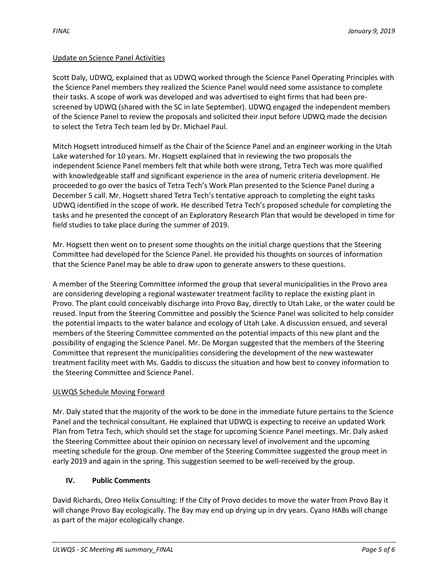### Update on Science Panel Activities

Scott Daly, UDWQ, explained that as UDWQ worked through the Science Panel Operating Principles with the Science Panel members they realized the Science Panel would need some assistance to complete their tasks. A scope of work was developed and was advertised to eight firms that had been prescreened by UDWQ (shared with the SC in late September). UDWQ engaged the independent members of the Science Panel to review the proposals and solicited their input before UDWQ made the decision to select the Tetra Tech team led by Dr. Michael Paul.

Mitch Hogsett introduced himself as the Chair of the Science Panel and an engineer working in the Utah Lake watershed for 10 years. Mr. Hogsett explained that in reviewing the two proposals the independent Science Panel members felt that while both were strong, Tetra Tech was more qualified with knowledgeable staff and significant experience in the area of numeric criteria development. He proceeded to go over the basics of Tetra Tech's Work Plan presented to the Science Panel during a December 5 call. Mr. Hogsett shared Tetra Tech's tentative approach to completing the eight tasks UDWQ identified in the scope of work. He described Tetra Tech's proposed schedule for completing the tasks and he presented the concept of an Exploratory Research Plan that would be developed in time for field studies to take place during the summer of 2019.

Mr. Hogsett then went on to present some thoughts on the initial charge questions that the Steering Committee had developed for the Science Panel. He provided his thoughts on sources of information that the Science Panel may be able to draw upon to generate answers to these questions.

A member of the Steering Committee informed the group that several municipalities in the Provo area are considering developing a regional wastewater treatment facility to replace the existing plant in Provo. The plant could conceivably discharge into Provo Bay, directly to Utah Lake, or the water could be reused. Input from the Steering Committee and possibly the Science Panel was solicited to help consider the potential impacts to the water balance and ecology of Utah Lake. A discussion ensued, and several members of the Steering Committee commented on the potential impacts of this new plant and the possibility of engaging the Science Panel. Mr. De Morgan suggested that the members of the Steering Committee that represent the municipalities considering the development of the new wastewater treatment facility meet with Ms. Gaddis to discuss the situation and how best to convey information to the Steering Committee and Science Panel.

## ULWQS Schedule Moving Forward

Mr. Daly stated that the majority of the work to be done in the immediate future pertains to the Science Panel and the technical consultant. He explained that UDWQ is expecting to receive an updated Work Plan from Tetra Tech, which should set the stage for upcoming Science Panel meetings. Mr. Daly asked the Steering Committee about their opinion on necessary level of involvement and the upcoming meeting schedule for the group. One member of the Steering Committee suggested the group meet in early 2019 and again in the spring. This suggestion seemed to be well-received by the group.

## **IV. Public Comments**

David Richards, Oreo Helix Consulting: If the City of Provo decides to move the water from Provo Bay it will change Provo Bay ecologically. The Bay may end up drying up in dry years. Cyano HABs will change as part of the major ecologically change.